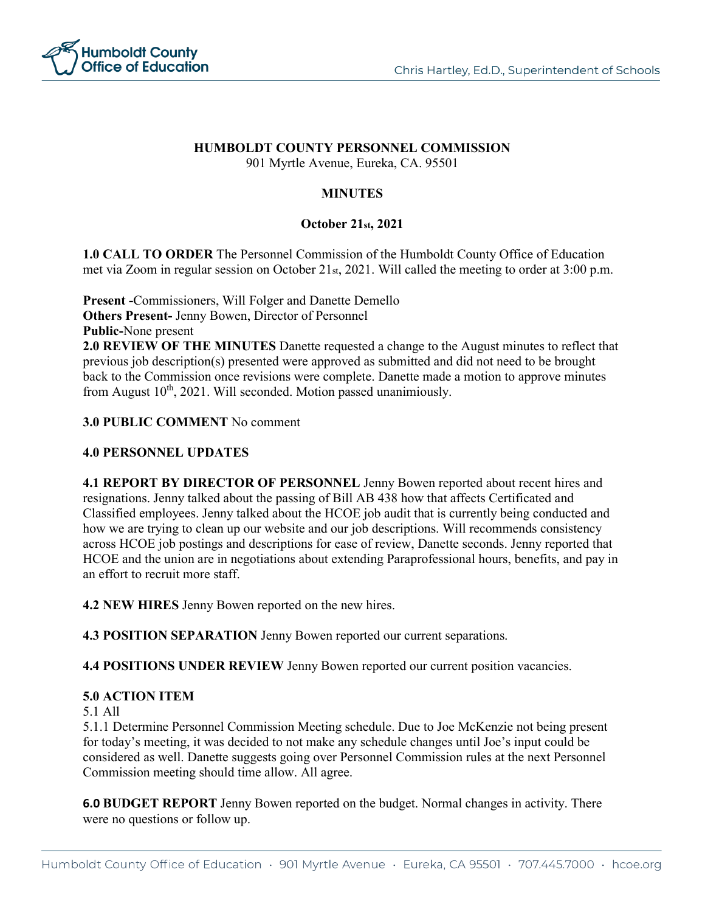

# **HUMBOLDT COUNTY PERSONNEL COMMISSION**

901 Myrtle Avenue, Eureka, CA. 95501

# **MINUTES**

## **October 21st, 2021**

**1.0 CALL TO ORDER** The Personnel Commission of the Humboldt County Office of Education met via Zoom in regular session on October 21st, 2021. Will called the meeting to order at 3:00 p.m.

**Present -**Commissioners, Will Folger and Danette Demello **Others Present-** Jenny Bowen, Director of Personnel **Public-**None present

**2.0 REVIEW OF THE MINUTES** Danette requested a change to the August minutes to reflect that previous job description(s) presented were approved as submitted and did not need to be brought back to the Commission once revisions were complete. Danette made a motion to approve minutes from August  $10^{th}$ , 2021. Will seconded. Motion passed unanimiously.

#### **3.0 PUBLIC COMMENT** No comment

### **4.0 PERSONNEL UPDATES**

**4.1 REPORT BY DIRECTOR OF PERSONNEL** Jenny Bowen reported about recent hires and resignations. Jenny talked about the passing of Bill AB 438 how that affects Certificated and Classified employees. Jenny talked about the HCOE job audit that is currently being conducted and how we are trying to clean up our website and our job descriptions. Will recommends consistency across HCOE job postings and descriptions for ease of review, Danette seconds. Jenny reported that HCOE and the union are in negotiations about extending Paraprofessional hours, benefits, and pay in an effort to recruit more staff.

**4.2 NEW HIRES** Jenny Bowen reported on the new hires.

**4.3 POSITION SEPARATION** Jenny Bowen reported our current separations.

**4.4 POSITIONS UNDER REVIEW** Jenny Bowen reported our current position vacancies.

### **5.0 ACTION ITEM**

#### 5.1 All

5.1.1 Determine Personnel Commission Meeting schedule. Due to Joe McKenzie not being present for today's meeting, it was decided to not make any schedule changes until Joe's input could be considered as well. Danette suggests going over Personnel Commission rules at the next Personnel Commission meeting should time allow. All agree.

**6.0 BUDGET REPORT** Jenny Bowen reported on the budget. Normal changes in activity. There were no questions or follow up.